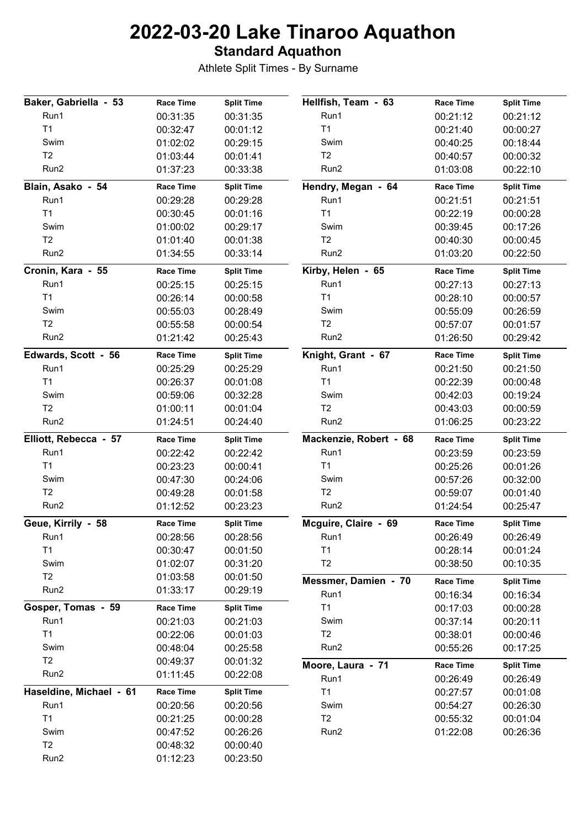#### **Standard Aquathon**

| Baker, Gabriella - 53   | <b>Race Time</b> | <b>Split Time</b> | Hellfish, Team - 63          | <b>Race Time</b>             | <b>Split Time</b>             |
|-------------------------|------------------|-------------------|------------------------------|------------------------------|-------------------------------|
| Run1                    | 00:31:35         | 00:31:35          | Run1                         | 00:21:12                     | 00:21:12                      |
| T1                      | 00:32:47         | 00:01:12          | T1                           | 00:21:40                     | 00:00:27                      |
| Swim                    | 01:02:02         | 00:29:15          | Swim                         | 00:40:25                     | 00:18:44                      |
| T2                      | 01:03:44         | 00:01:41          | T <sub>2</sub>               | 00:40:57                     | 00:00:32                      |
| Run2                    | 01:37:23         | 00:33:38          | Run2                         | 01:03:08                     | 00:22:10                      |
| Blain, Asako - 54       | <b>Race Time</b> | <b>Split Time</b> | Hendry, Megan - 64           | <b>Race Time</b>             | <b>Split Time</b>             |
| Run1                    | 00:29:28         | 00:29:28          | Run1                         | 00:21:51                     | 00:21:51                      |
| T1                      | 00:30:45         | 00:01:16          | T1                           | 00:22:19                     | 00:00:28                      |
| Swim                    | 01:00:02         | 00:29:17          | Swim                         | 00:39:45                     | 00:17:26                      |
| T2                      | 01:01:40         | 00:01:38          | T <sub>2</sub>               | 00:40:30                     | 00:00:45                      |
| Run2                    | 01:34:55         | 00:33:14          | Run2                         | 01:03:20                     | 00:22:50                      |
| Cronin, Kara - 55       | <b>Race Time</b> | <b>Split Time</b> | Kirby, Helen - 65            | <b>Race Time</b>             | <b>Split Time</b>             |
| Run1                    | 00:25:15         | 00:25:15          | Run1                         | 00:27:13                     | 00:27:13                      |
| T <sub>1</sub>          | 00:26:14         | 00:00:58          | T <sub>1</sub>               | 00:28:10                     | 00:00:57                      |
| Swim                    | 00:55:03         | 00:28:49          | Swim                         | 00:55:09                     | 00:26:59                      |
| T <sub>2</sub>          | 00:55:58         | 00:00:54          | T2                           | 00:57:07                     | 00:01:57                      |
| Run2                    | 01:21:42         | 00:25:43          | Run2                         | 01:26:50                     | 00:29:42                      |
| Edwards, Scott - 56     | <b>Race Time</b> | <b>Split Time</b> | Knight, Grant - 67           | <b>Race Time</b>             | <b>Split Time</b>             |
| Run1                    | 00:25:29         | 00:25:29          | Run1                         | 00:21:50                     | 00:21:50                      |
| T <sub>1</sub>          | 00:26:37         | 00:01:08          | T <sub>1</sub>               | 00:22:39                     | 00:00:48                      |
| Swim                    | 00:59:06         | 00:32:28          | Swim                         | 00:42:03                     | 00:19:24                      |
| T2                      | 01:00:11         | 00:01:04          | T2                           | 00:43:03                     | 00:00:59                      |
| Run2                    | 01:24:51         | 00:24:40          | Run2                         | 01:06:25                     | 00:23:22                      |
|                         |                  |                   |                              |                              |                               |
| Elliott, Rebecca - 57   | <b>Race Time</b> | <b>Split Time</b> | Mackenzie, Robert - 68       | <b>Race Time</b>             | <b>Split Time</b>             |
| Run1                    | 00:22:42         | 00:22:42          | Run1                         | 00:23:59                     | 00:23:59                      |
| T <sub>1</sub>          | 00:23:23         | 00:00:41          | T <sub>1</sub>               | 00:25:26                     | 00:01:26                      |
| Swim                    | 00:47:30         | 00:24:06          | Swim                         | 00:57:26                     | 00:32:00                      |
| T2                      | 00:49:28         | 00:01:58          | T2                           | 00:59:07                     | 00:01:40                      |
| Run2                    | 01:12:52         | 00:23:23          | Run2                         | 01:24:54                     | 00:25:47                      |
| Geue, Kirrily - 58      | <b>Race Time</b> | <b>Split Time</b> | Mcguire, Claire - 69         | <b>Race Time</b>             | <b>Split Time</b>             |
| Run1                    | 00:28:56         | 00:28:56          | Run1                         | 00:26:49                     | 00:26:49                      |
| T1                      | 00:30:47         | 00:01:50          | T <sub>1</sub>               | 00:28:14                     | 00:01:24                      |
| Swim                    | 01:02:07         | 00:31:20          | T <sub>2</sub>               | 00:38:50                     | 00:10:35                      |
| T <sub>2</sub>          | 01:03:58         | 00:01:50          |                              |                              |                               |
| Run2                    | 01:33:17         | 00:29:19          | Messmer, Damien - 70<br>Run1 | <b>Race Time</b><br>00:16:34 | <b>Split Time</b><br>00:16:34 |
| Gosper, Tomas - 59      | <b>Race Time</b> | <b>Split Time</b> | T1                           | 00:17:03                     | 00:00:28                      |
| Run1                    | 00:21:03         | 00:21:03          | Swim                         | 00:37:14                     | 00:20:11                      |
| T <sub>1</sub>          | 00:22:06         | 00:01:03          | T <sub>2</sub>               | 00:38:01                     | 00:00:46                      |
| Swim                    | 00:48:04         | 00:25:58          | Run2                         | 00:55:26                     | 00:17:25                      |
| T2                      | 00:49:37         | 00:01:32          |                              |                              |                               |
| Run2                    | 01:11:45         | 00:22:08          | Moore, Laura - 71            | <b>Race Time</b>             | <b>Split Time</b>             |
| Haseldine, Michael - 61 | <b>Race Time</b> | <b>Split Time</b> | Run1<br>T1                   | 00:26:49                     | 00:26:49                      |
| Run1                    | 00:20:56         | 00:20:56          | Swim                         | 00:27:57<br>00:54:27         | 00:01:08<br>00:26:30          |
| T <sub>1</sub>          | 00:21:25         | 00:00:28          | T2                           | 00:55:32                     | 00:01:04                      |
| Swim                    | 00:47:52         | 00:26:26          | Run2                         | 01:22:08                     | 00:26:36                      |
| T <sub>2</sub>          | 00:48:32         | 00:00:40          |                              |                              |                               |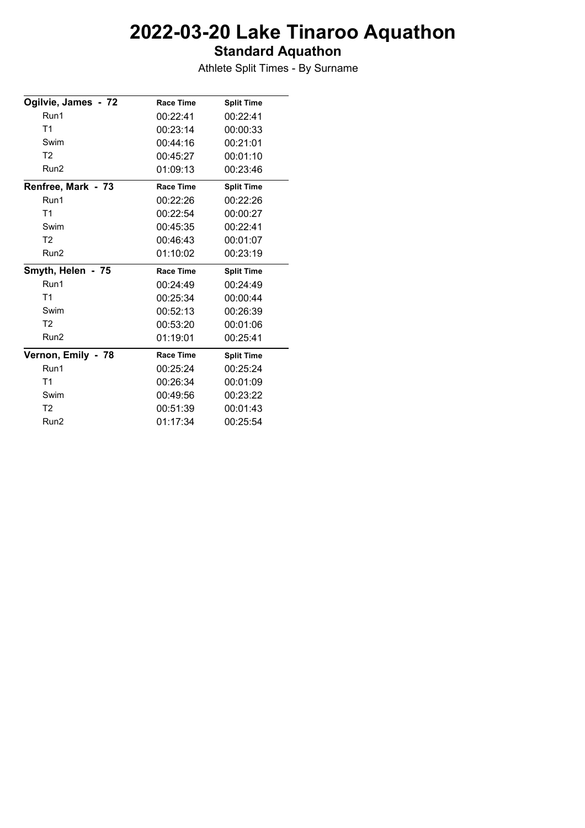### **Standard Aquathon**

| Ogilvie, James - 72 | <b>Race Time</b> | <b>Split Time</b> |
|---------------------|------------------|-------------------|
| Run1                | 00:22:41         | 00:22:41          |
| T <sub>1</sub>      | 00:23:14         | 00:00:33          |
| Swim                | 00:44:16         | 00:21:01          |
| T <sub>2</sub>      | 00:45:27         | 00:01:10          |
| Run <sub>2</sub>    | 01:09:13         | 00:23:46          |
| Renfree, Mark - 73  | <b>Race Time</b> | <b>Split Time</b> |
| Run1                | 00:22:26         | 00:22:26          |
| T1                  | 00:22:54         | 00:00:27          |
| Swim                | 00:45:35         | 00:22:41          |
| T <sub>2</sub>      | 00:46:43         | 00:01:07          |
| Run <sub>2</sub>    | 01:10:02         | 00:23:19          |
| Smyth, Helen - 75   | <b>Race Time</b> | <b>Split Time</b> |
| Run1                | 00:24:49         | 00:24:49          |
| T <sub>1</sub>      | 00:25:34         | 00:00:44          |
| Swim                | 00:52:13         | 00:26:39          |
| T <sub>2</sub>      | 00:53:20         | 00:01:06          |
| Run <sub>2</sub>    | 01:19:01         | 00:25:41          |
| Vernon, Emily - 78  | <b>Race Time</b> | <b>Split Time</b> |
| Run1                | 00:25:24         | 00:25:24          |
| T <sub>1</sub>      | 00:26:34         | 00:01:09          |
| Swim                | 00:49:56         | 00:23:22          |
| T <sub>2</sub>      | 00:51:39         | 00:01:43          |
| Run <sub>2</sub>    | 01:17:34         | 00:25:54          |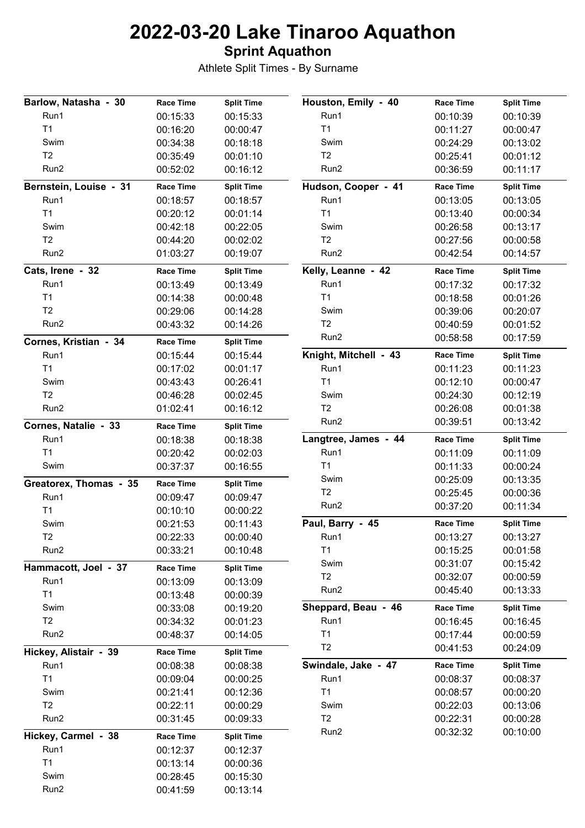### **Sprint Aquathon**

| Barlow, Natasha - 30   | <b>Race Time</b> | <b>Split Time</b> | Houston, Emily - 40   | <b>Race Time</b>     | <b>Split Time</b>    |
|------------------------|------------------|-------------------|-----------------------|----------------------|----------------------|
| Run1                   | 00:15:33         | 00:15:33          | Run1                  | 00:10:39             | 00:10:39             |
| T <sub>1</sub>         | 00:16:20         | 00:00:47          | T1                    | 00:11:27             | 00:00:47             |
| Swim                   | 00:34:38         | 00:18:18          | Swim                  | 00:24:29             | 00:13:02             |
| T2                     | 00:35:49         | 00:01:10          | T <sub>2</sub>        | 00:25:41             | 00:01:12             |
| Run2                   | 00:52:02         | 00:16:12          | Run2                  | 00:36:59             | 00:11:17             |
| Bernstein, Louise - 31 | <b>Race Time</b> | <b>Split Time</b> | Hudson, Cooper - 41   | <b>Race Time</b>     | <b>Split Time</b>    |
| Run1                   | 00:18:57         | 00:18:57          | Run1                  | 00:13:05             | 00:13:05             |
| T <sub>1</sub>         | 00:20:12         | 00:01:14          | T1                    | 00:13:40             | 00:00:34             |
| Swim                   | 00:42:18         | 00:22:05          | Swim                  | 00:26:58             | 00:13:17             |
| T2                     | 00:44:20         | 00:02:02          | T <sub>2</sub>        | 00:27:56             | 00:00:58             |
| Run2                   | 01:03:27         | 00:19:07          | Run2                  | 00:42:54             | 00:14:57             |
| Cats, Irene - 32       | <b>Race Time</b> | <b>Split Time</b> | Kelly, Leanne - 42    | <b>Race Time</b>     | <b>Split Time</b>    |
| Run1                   | 00:13:49         | 00:13:49          | Run1                  | 00:17:32             | 00:17:32             |
| T <sub>1</sub>         | 00:14:38         | 00:00:48          | T1                    | 00:18:58             | 00:01:26             |
| T2                     | 00:29:06         | 00:14:28          | Swim                  | 00:39:06             | 00:20:07             |
| Run2                   | 00:43:32         | 00:14:26          | T <sub>2</sub>        | 00:40:59             | 00:01:52             |
| Cornes, Kristian - 34  | <b>Race Time</b> | <b>Split Time</b> | Run2                  | 00:58:58             | 00:17:59             |
| Run1                   | 00:15:44         | 00:15:44          | Knight, Mitchell - 43 | <b>Race Time</b>     | <b>Split Time</b>    |
| T <sub>1</sub>         | 00:17:02         | 00:01:17          | Run1                  | 00:11:23             | 00:11:23             |
| Swim                   | 00:43:43         | 00:26:41          | T1                    | 00:12:10             | 00:00:47             |
| T2                     | 00:46:28         | 00:02:45          | Swim                  | 00:24:30             | 00:12:19             |
| Run2                   | 01:02:41         | 00:16:12          | T2                    | 00:26:08             | 00:01:38             |
| Cornes, Natalie - 33   | <b>Race Time</b> | <b>Split Time</b> | Run2                  | 00:39:51             | 00:13:42             |
| Run1                   | 00:18:38         | 00:18:38          | Langtree, James - 44  | <b>Race Time</b>     | <b>Split Time</b>    |
| T1                     | 00:20:42         | 00:02:03          | Run1                  | 00:11:09             | 00:11:09             |
| Swim                   | 00:37:37         | 00:16:55          | T1                    | 00:11:33             | 00:00:24             |
| Greatorex, Thomas - 35 | <b>Race Time</b> | <b>Split Time</b> | Swim                  | 00:25:09             | 00:13:35             |
| Run1                   | 00:09:47         | 00:09:47          | T <sub>2</sub>        | 00:25:45             | 00:00:36             |
| T <sub>1</sub>         | 00:10:10         | 00:00:22          | Run2                  | 00:37:20             | 00:11:34             |
| Swim                   | 00:21:53         | 00:11:43          | Paul, Barry - 45      | <b>Race Time</b>     | <b>Split Time</b>    |
| T <sub>2</sub>         | 00:22:33         | 00:00:40          | Run1                  | 00:13:27             | 00:13:27             |
| Run2                   | 00:33:21         | 00:10:48          | T1                    | 00:15:25             | 00:01:58             |
|                        |                  |                   | Swim                  | 00:31:07             | 00:15:42             |
| Hammacott, Joel - 37   | <b>Race Time</b> | <b>Split Time</b> | T2                    | 00:32:07             | 00:00:59             |
| Run1                   | 00:13:09         | 00:13:09          | Run2                  | 00:45:40             | 00:13:33             |
| T <sub>1</sub>         | 00:13:48         | 00:00:39          |                       |                      |                      |
| Swim                   | 00:33:08         | 00:19:20          | Sheppard, Beau - 46   | <b>Race Time</b>     | <b>Split Time</b>    |
| T <sub>2</sub>         | 00:34:32         | 00:01:23          | Run1                  | 00:16:45             | 00:16:45             |
| Run <sub>2</sub>       | 00:48:37         | 00:14:05          | T1<br>T2              | 00:17:44<br>00:41:53 | 00:00:59<br>00:24:09 |
| Hickey, Alistair - 39  | <b>Race Time</b> | <b>Split Time</b> |                       |                      |                      |
| Run1                   | 00:08:38         | 00:08:38          | Swindale, Jake - 47   | <b>Race Time</b>     | <b>Split Time</b>    |
| T1                     | 00:09:04         | 00:00:25          | Run1                  | 00:08:37             | 00:08:37             |
| Swim                   | 00:21:41         | 00:12:36          | T1                    | 00:08:57             | 00:00:20             |
| T2                     | 00:22:11         | 00:00:29          | Swim                  | 00:22:03             | 00:13:06             |
| Run2                   | 00:31:45         | 00:09:33          | T2                    | 00:22:31             | 00:00:28             |
| Hickey, Carmel - 38    | <b>Race Time</b> | <b>Split Time</b> | Run2                  | 00:32:32             | 00:10:00             |
| Run1                   | 00:12:37         | 00:12:37          |                       |                      |                      |
| T1                     | 00:13:14         | 00:00:36          |                       |                      |                      |
| Swim                   | 00:28:45         | 00:15:30          |                       |                      |                      |
| Run2                   | 00:41:59         | 00:13:14          |                       |                      |                      |